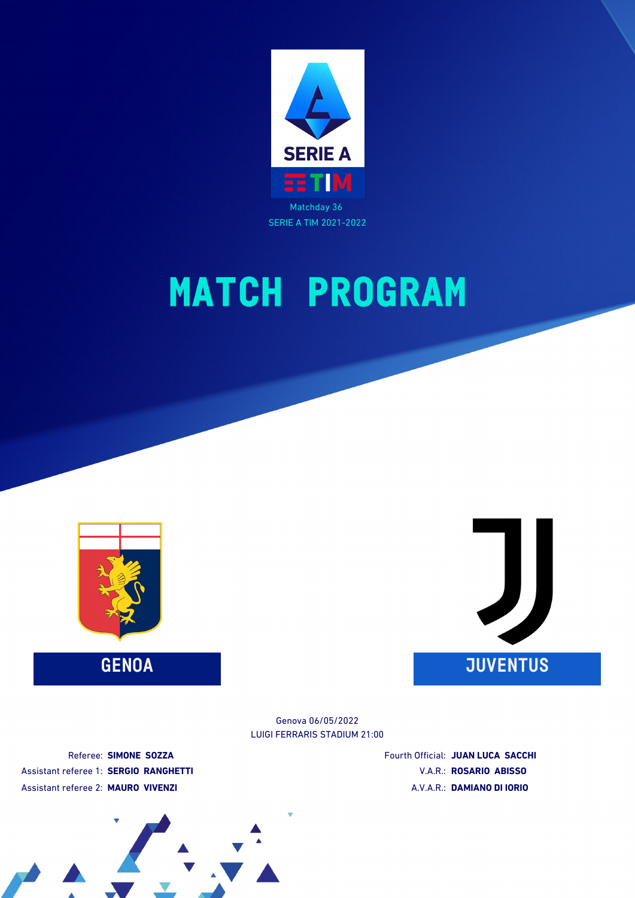





LUIGI FERRARIS STADIUM 21:00 Genova 06/05/2022

Referee: **SIMONE SOZZA** Assistant referee 1: **SERGIO RANGHETTI** Assistant referee 2: **MAURO VIVENZI**

Fourth Official: **JUAN LUCA SACCHI** V.A.R.: **ROSARIO ABISSO** A.V.A.R.: **DAMIANO DI IORIO**

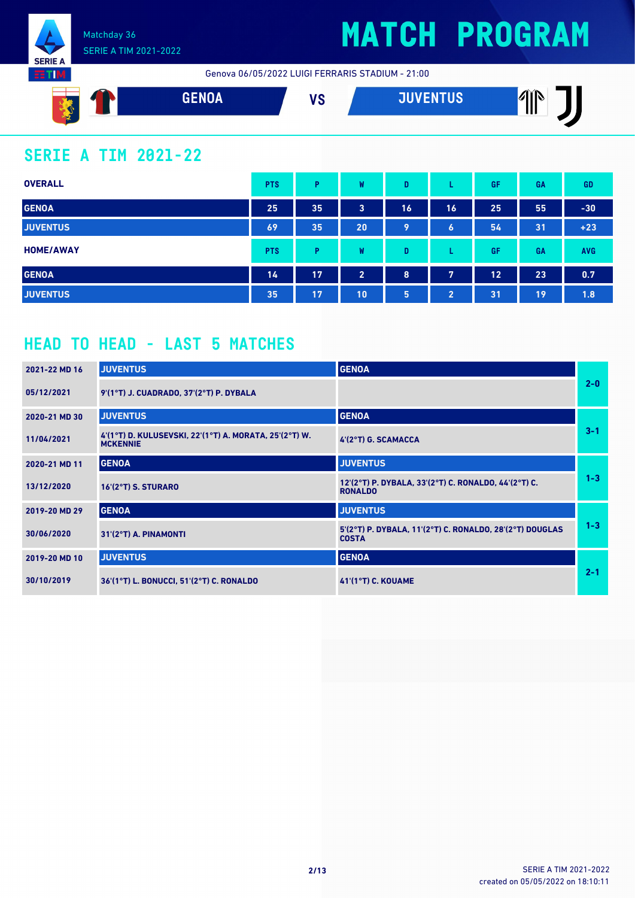

**ETIM** 

## **MATCH PROGRAM**

Genova 06/05/2022 LUIGI FERRARIS STADIUM - 21:00



### **SERIE A TIM 2021-22**

| <b>OVERALL</b>   | <b>PTS</b> | P  | W              | D  |                | GF | <b>GA</b> | <b>GD</b>  |
|------------------|------------|----|----------------|----|----------------|----|-----------|------------|
| <b>GENOA</b>     | 25         | 35 | 3              | 16 | 16             | 25 | 55        | $-30$      |
| <b>JUVENTUS</b>  | 69         | 35 | 20             | 9  | 6              | 54 | 31        | $+23$      |
| <b>HOME/AWAY</b> | <b>PTS</b> | P  | W              | D  |                | GF | GA        | <b>AVG</b> |
| <b>GENOA</b>     | 14         | 17 | $\overline{2}$ | 8  | 7              | 12 | 23        | 0.7        |
| <b>JUVENTUS</b>  | 35         | 17 | 10             | 5  | $\overline{2}$ | 31 | 19        | 1.8        |

### **HEAD TO HEAD - LAST 5 MATCHES**

| 2021-22 MD 16 | <b>JUVENTUS</b>                                                           | <b>GENOA</b>                                                             |         |
|---------------|---------------------------------------------------------------------------|--------------------------------------------------------------------------|---------|
| 05/12/2021    | 9'(1°T) J. CUADRADO, 37'(2°T) P. DYBALA                                   |                                                                          | $2 - 0$ |
| 2020-21 MD 30 | <b>JUVENTUS</b>                                                           | <b>GENOA</b>                                                             |         |
| 11/04/2021    | 4'(1°T) D. KULUSEVSKI, 22'(1°T) A. MORATA, 25'(2°T) W.<br><b>MCKENNIE</b> | 4'(2°T) G. SCAMACCA                                                      | $3 - 1$ |
| 2020-21 MD 11 | <b>GENOA</b>                                                              | <b>JUVENTUS</b>                                                          |         |
| 13/12/2020    | $16'(2°T)$ S. STURARO                                                     | 12'(2°T) P. DYBALA, 33'(2°T) C. RONALDO, 44'(2°T) C.<br><b>RONALDO</b>   | $1 - 3$ |
| 2019-20 MD 29 | <b>GENOA</b>                                                              | <b>JUVENTUS</b>                                                          |         |
| 30/06/2020    | 31'(2°T) A. PINAMONTI                                                     | 5'(2°T) P. DYBALA, 11'(2°T) C. RONALDO, 28'(2°T) DOUGLAS<br><b>COSTA</b> | $1 - 3$ |
| 2019-20 MD 10 | <b>JUVENTUS</b>                                                           | <b>GENOA</b>                                                             |         |
| 30/10/2019    | 36'(1°T) L. BONUCCI, 51'(2°T) C. RONALDO                                  | <b>41'(1°T) C. KOUAME</b>                                                | $2 - 1$ |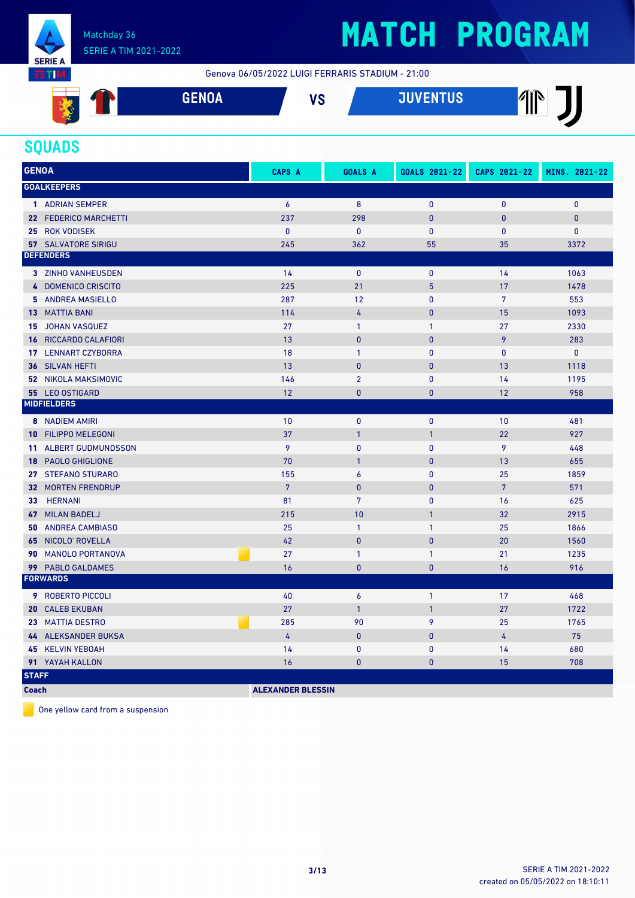

# **MATCH PROGRAM**

Genova 06/05/2022 LUIGI FERRARIS STADIUM - 21:00

| <b>FUOL</b> | $\mathbf{u}$ | <b>HIVENTHO</b> | $\sqrt{N}$ |
|-------------|--------------|-----------------|------------|
| uliivn      | , u          | UJZ             | Ш          |
|             |              |                 |            |

#### **SQUADS**

| <b>GENOA</b>    |                              | CAPS A          | <b>GOALS A</b>   | GOALS 2021-22 | CAPS 2021-22   | MINS. 2021-22 |
|-----------------|------------------------------|-----------------|------------------|---------------|----------------|---------------|
|                 | <b>GOALKEEPERS</b>           |                 |                  |               |                |               |
|                 | 1 ADRIAN SEMPER              | 6               | 8                | $\mathbf{0}$  | $\mathbf{0}$   | $\mathbf{0}$  |
|                 | 22 FEDERICO MARCHETTI        | 237             | 298              | $\mathbf{0}$  | $\mathbf{0}$   | $\pmb{0}$     |
|                 | 25 ROK VODISEK               | $\mathbf{0}$    | $\mathbf 0$      | $\mathbf{0}$  | $\mathbf{0}$   | $\pmb{0}$     |
|                 | <b>57 SALVATORE SIRIGU</b>   | 245             | 362              | 55            | 35             | 3372          |
|                 | <b>DEFENDERS</b>             |                 |                  |               |                |               |
|                 | 3 ZINHO VANHEUSDEN           | 14              | $\mathbf{0}$     | $\mathbf{0}$  | 14             | 1063          |
|                 | 4 DOMENICO CRISCITO          | 225             | 21               | 5             | 17             | 1478          |
|                 | 5 ANDREA MASIELLO            | 287             | 12               | $\mathbf{0}$  | $\overline{7}$ | 553           |
|                 | <b>13 MATTIA BANI</b>        | 114             | 4                | $\mathbf{0}$  | 15             | 1093          |
| 15              | JOHAN VASQUEZ                | 27              | $\mathbf{1}$     | $\mathbf{1}$  | 27             | 2330          |
|                 | <b>16 RICCARDO CALAFIORI</b> | 13              | $\mathbf{0}$     | $\mathbf{0}$  | 9              | 283           |
|                 | 17 LENNART CZYBORRA          | 18              | $\mathbf{1}$     | $\mathbf{0}$  | $\mathbf{0}$   | $\mathbf{0}$  |
| 36              | SILVAN HEFTI                 | 13              | $\mathbf{0}$     | $\mathbf{0}$  | 13             | 1118          |
|                 | <b>52 NIKOLA MAKSIMOVIC</b>  | 146             | $\overline{2}$   | $\mathbf{0}$  | 14             | 1195          |
|                 | 55 LEO OSTIGARD              | 12              | $\mathbf{0}$     | $\mathbf{0}$  | 12             | 958           |
|                 | <b>MIDFIELDERS</b>           |                 |                  |               |                |               |
|                 | <b>8</b> NADIEM AMIRI        | 10              | $\mathbf 0$      | $\pmb{0}$     | 10             | 481           |
|                 | <b>10 FILIPPO MELEGONI</b>   | 37              | $\overline{1}$   | $\mathbf{1}$  | 22             | 927           |
| 11 <sup>1</sup> | <b>ALBERT GUDMUNDSSON</b>    | 9               | $\mathbf{0}$     | $\mathbf{0}$  | 9              | 448           |
|                 | 18 PAOLO GHIGLIONE           | 70              | $\overline{1}$   | $\mathbf{0}$  | 13             | 655           |
|                 | 27 STEFANO STURARO           | 155             | $\boldsymbol{6}$ | $\mathbf{0}$  | 25             | 1859          |
|                 | <b>32 MORTEN FRENDRUP</b>    | $7\overline{ }$ | $\mathbf{0}$     | $\mathbf{0}$  | $\overline{7}$ | 571           |
| 33 <sup>7</sup> | <b>HERNANI</b>               | 81              | $\overline{7}$   | $\mathbf{0}$  | 16             | 625           |
|                 | 47 MILAN BADELJ              | 215             | 10               | $\mathbf{1}$  | 32             | 2915          |
|                 | <b>50 ANDREA CAMBIASO</b>    | 25              | $\mathbf{1}$     | $\mathbf{1}$  | 25             | 1866          |
| 65              | NICOLO' ROVELLA              | 42              | $\mathbf{0}$     | $\mathbf{0}$  | 20             | 1560          |
| 90              | <b>MANOLO PORTANOVA</b>      | 27              | $\mathbf{1}$     | $\mathbf{1}$  | 21             | 1235          |
|                 | 99 PABLO GALDAMES            | 16              | $\mathbf{0}$     | $\mathbf{0}$  | 16             | 916           |
|                 | <b>FORWARDS</b>              |                 |                  |               |                |               |
|                 | <b>9 ROBERTO PICCOLI</b>     | 40              | 6                | $\mathbf{1}$  | 17             | 468           |
| 20              | <b>CALEB EKUBAN</b>          | 27              | $\overline{1}$   | $\mathbf{1}$  | 27             | 1722          |
|                 | 23 MATTIA DESTRO             | 285             | 90               | 9             | 25             | 1765          |
|                 | 44 ALEKSANDER BUKSA          | 4               | $\pmb{0}$        | $\mathbf{0}$  | $\overline{4}$ | 75            |
|                 | 45 KELVIN YEBOAH             | 14              | $\mathbf{0}$     | $\mathbf{0}$  | 14             | 680           |
|                 | 91 YAYAH KALLON              | 16              | $\mathbf{0}$     | $\mathbf{0}$  | 15             | 708           |
| <b>STAFF</b>    |                              |                 |                  |               |                |               |

**Coach ALEXANDER BLESSIN** 

One yellow card from a suspension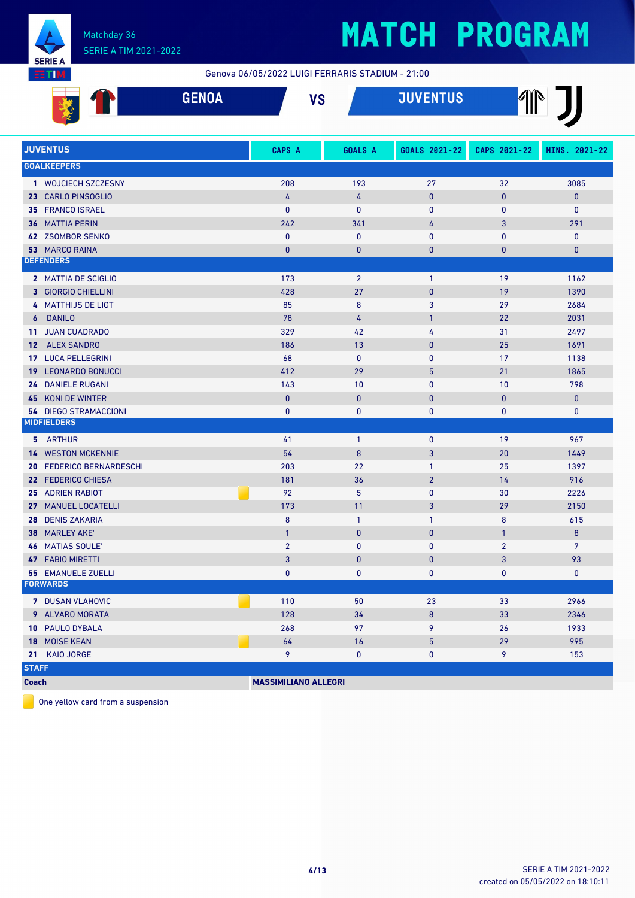

# **MATCH PROGRAM**

Genova 06/05/2022 LUIGI FERRARIS STADIUM - 21:00

|       | $\sim$ = $\sim$ $\sim$<br>961192 | <b>110</b> | <b>SUBJECT</b> | $\sqrt{1}$<br>$\mathbb{I}$ |
|-------|----------------------------------|------------|----------------|----------------------------|
| Sept. |                                  |            |                |                            |

|              | <b>JUVENTUS</b>              | <b>CAPS A</b>               | <b>GOALS A</b> | GOALS 2021-22  | CAPS 2021-22   | MINS. 2021-22    |
|--------------|------------------------------|-----------------------------|----------------|----------------|----------------|------------------|
|              | <b>GOALKEEPERS</b>           |                             |                |                |                |                  |
|              | 1 WOJCIECH SZCZESNY          | 208                         | 193            | 27             | 32             | 3085             |
|              | 23 CARLO PINSOGLIO           | 4                           | 4              | $\mathbf{0}$   | $\mathbf{0}$   | $\pmb{0}$        |
|              | 35 FRANCO ISRAEL             | $\mathbf{0}$                | $\mathbf{0}$   | $\mathbf{0}$   | $\mathbf{0}$   | $\mathbf{0}$     |
|              | <b>36 MATTIA PERIN</b>       | 242                         | 341            | 4              | 3              | 291              |
|              | 42 ZSOMBOR SENKO             | $\mathbf{0}$                | $\mathbf{0}$   | $\mathbf{0}$   | $\mathbf{0}$   | $\mathbf{0}$     |
|              | 53 MARCO RAINA               | $\overline{0}$              | $\overline{0}$ | $\mathbf{0}$   | $\overline{0}$ | $\bf{0}$         |
|              | <b>DEFENDERS</b>             |                             |                |                |                |                  |
|              | 2 MATTIA DE SCIGLIO          | 173                         | $\overline{2}$ | $\mathbf{1}$   | 19             | 1162             |
|              | 3 GIORGIO CHIELLINI          | 428                         | 27             | $\mathbf{0}$   | 19             | 1390             |
|              | 4 MATTHIJS DE LIGT           | 85                          | 8              | 3              | 29             | 2684             |
|              | 6 DANILO                     | 78                          | 4              | $\mathbf{1}$   | 22             | 2031             |
|              | 11 JUAN CUADRADO             | 329                         | 42             | $\overline{4}$ | 31             | 2497             |
|              | 12 ALEX SANDRO               | 186                         | 13             | $\mathbf{0}$   | 25             | 1691             |
|              | 17 LUCA PELLEGRINI           | 68                          | $\mathbf{0}$   | $\mathbf{0}$   | 17             | 1138             |
|              | <b>19 LEONARDO BONUCCI</b>   | 412                         | 29             | 5              | 21             | 1865             |
|              | 24 DANIELE RUGANI            | 143                         | 10             | $\mathbf{0}$   | 10             | 798              |
| 45           | KONI DE WINTER               | $\mathbf 0$                 | $\mathbf{0}$   | $\mathbf{0}$   | $\mathbf{0}$   | $\mathbf{0}$     |
|              | <b>54 DIEGO STRAMACCIONI</b> | $\mathbf{0}$                | $\mathbf{0}$   | 0              | $\mathbf{0}$   | $\mathbf{0}$     |
|              | <b>MIDFIELDERS</b>           |                             |                |                |                |                  |
|              | 5 ARTHUR                     | 41                          | $\overline{1}$ | $\pmb{0}$      | 19             | 967              |
|              | <b>14 WESTON MCKENNIE</b>    | 54                          | 8              | 3              | 20             | 1449             |
|              | 20 FEDERICO BERNARDESCHI     | 203                         | 22             | $\mathbf{1}$   | 25             | 1397             |
|              | 22 FEDERICO CHIESA           | 181                         | 36             | $\overline{2}$ | 14             | 916              |
|              | <b>25 ADRIEN RABIOT</b>      | 92                          | 5              | $\mathbf{0}$   | 30             | 2226             |
|              | 27 MANUEL LOCATELLI          | 173                         | 11             | $\overline{3}$ | 29             | 2150             |
|              | 28 DENIS ZAKARIA             | 8                           | $\mathbf{1}$   | $\mathbf{1}$   | 8              | 615              |
|              | <b>38 MARLEY AKE</b>         | $\mathbf{1}$                | $\mathbf{0}$   | $\mathbf{0}$   | $\mathbf{1}$   | $\boldsymbol{8}$ |
|              | <b>46 MATIAS SOULE'</b>      | $\overline{2}$              | $\mathbf{0}$   | $\mathbf{0}$   | $\overline{2}$ | $7\overline{ }$  |
| 47           | <b>FABIO MIRETTI</b>         | 3                           | $\overline{0}$ | $\mathbf{0}$   | 3              | 93               |
|              | <b>55 EMANUELE ZUELLI</b>    | $\mathbf{0}$                | $\mathbf{0}$   | 0              | $\mathbf{0}$   | $\mathbf 0$      |
|              | <b>FORWARDS</b>              |                             |                |                |                |                  |
|              | 7 DUSAN VLAHOVIC             | 110                         | 50             | 23             | 33             | 2966             |
|              | 9 ALVARO MORATA              | 128                         | 34             | 8              | 33             | 2346             |
|              | 10 PAULO DYBALA              | 268                         | 97             | 9              | 26             | 1933             |
| 18           | <b>MOISE KEAN</b>            | 64                          | 16             | 5              | 29             | 995              |
| 21           | <b>KAIO JORGE</b>            | 9                           | $\mathbf{0}$   | 0              | 9              | 153              |
| <b>STAFF</b> |                              |                             |                |                |                |                  |
| <b>Coach</b> |                              | <b>MASSIMILIANO ALLEGRI</b> |                |                |                |                  |

One yellow card from a suspension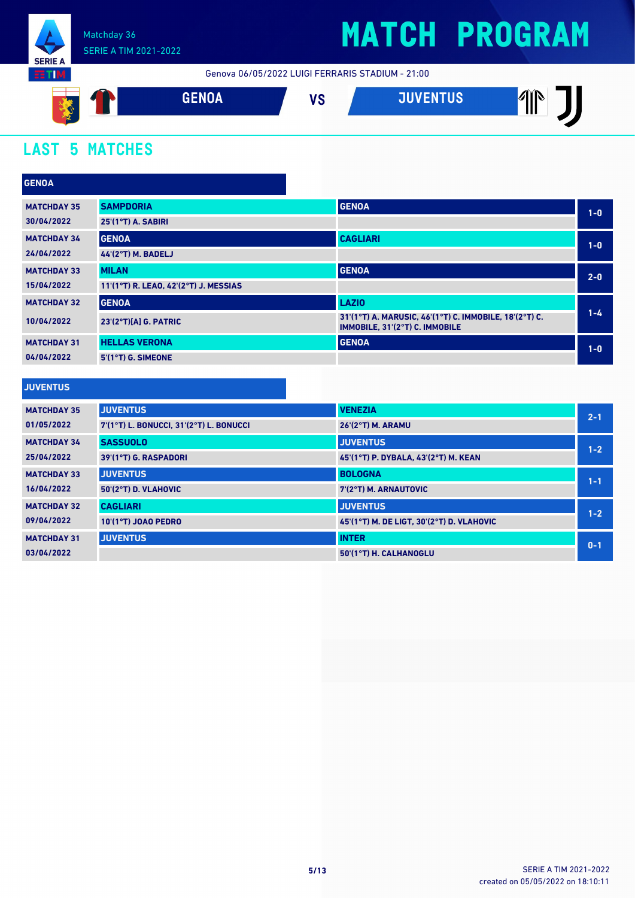

## **MATCH PROGRAM**

Genova 06/05/2022 LUIGI FERRARIS STADIUM - 21:00



### **LAST 5 MATCHES**

| <b>GENOA</b>       |                                       |                                                                                          |         |
|--------------------|---------------------------------------|------------------------------------------------------------------------------------------|---------|
| <b>MATCHDAY 35</b> | <b>SAMPDORIA</b>                      | <b>GENOA</b>                                                                             | $1-0$   |
| 30/04/2022         | 25'(1°T) A. SABIRI                    |                                                                                          |         |
| <b>MATCHDAY 34</b> | <b>GENOA</b>                          | <b>CAGLIARI</b>                                                                          | $1-0$   |
| 24/04/2022         | <b>44'(2°T) M. BADELJ</b>             |                                                                                          |         |
| <b>MATCHDAY 33</b> | <b>MILAN</b>                          | <b>GENOA</b>                                                                             | $2 - 0$ |
| 15/04/2022         | 11'(1°T) R. LEAO, 42'(2°T) J. MESSIAS |                                                                                          |         |
| <b>MATCHDAY 32</b> | <b>GENOA</b>                          | <b>LAZIO</b>                                                                             |         |
| 10/04/2022         | $23'(2°T)[A]$ G. PATRIC               | 31'(1°T) A. MARUSIC, 46'(1°T) C. IMMOBILE, 18'(2°T) C.<br>IMMOBILE, 31'(2°T) C. IMMOBILE | $1 - 4$ |
| <b>MATCHDAY 31</b> | <b>HELLAS VERONA</b>                  | <b>GENOA</b>                                                                             | $1-0$   |
| 04/04/2022         | 5'(1°T) G. SIMEONE                    |                                                                                          |         |
|                    |                                       |                                                                                          |         |
| <b>JUVENTUS</b>    |                                       |                                                                                          |         |

| <b>MATCHDAY 35</b> | <b>JUVENTUS</b>                         | <b>VENEZIA</b>                            | $2 - 1$ |
|--------------------|-----------------------------------------|-------------------------------------------|---------|
| 01/05/2022         | 7'(1°T) L. BONUCCI, 31'(2°T) L. BONUCCI | <b>26'(2°T) M. ARAMU</b>                  |         |
| <b>MATCHDAY 34</b> | <b>SASSUOLO</b>                         | <b>JUVENTUS</b>                           | $1 - 2$ |
| 25/04/2022         | 39'(1°T) G. RASPADORI                   | 45 (1°T) P. DYBALA, 43 (2°T) M. KEAN      |         |
| <b>MATCHDAY 33</b> | <b>JUVENTUS</b>                         | <b>BOLOGNA</b>                            | $1 - 1$ |
| 16/04/2022         | 50'(2°T) D. VLAHOVIC                    | 7'(2°T) M. ARNAUTOVIC                     |         |
| <b>MATCHDAY 32</b> | <b>CAGLIARI</b>                         | <b>JUVENTUS</b>                           | $1 - 2$ |
| 09/04/2022         | <b>10'(1°T) JOAO PEDRO</b>              | 45'(1°T) M. DE LIGT, 30'(2°T) D. VLAHOVIC |         |
| <b>MATCHDAY 31</b> | <b>JUVENTUS</b>                         | <b>INTER</b>                              | $0 - 1$ |
| 03/04/2022         |                                         | 50'(1°T) H. CALHANOGLU                    |         |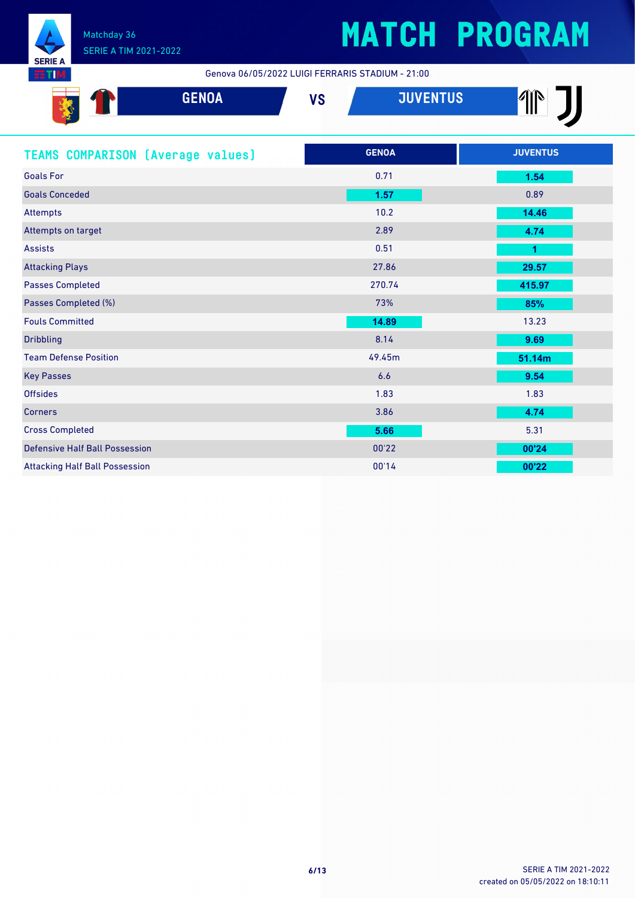

Genova 06/05/2022 LUIGI FERRARIS STADIUM - 21:00

| <b>GENOA</b>                             | <b>VS</b>    | <b>JUVENTUS</b> |
|------------------------------------------|--------------|-----------------|
| <b>TEAMS COMPARISON (Average values)</b> | <b>GENOA</b> | <b>JUVENTUS</b> |
| <b>Goals For</b>                         | 0.71         | 1.54            |
| <b>Goals Conceded</b>                    | 1.57         | 0.89            |
| <b>Attempts</b>                          | 10.2         | 14.46           |
| Attempts on target                       | 2.89         | 4.74            |
| <b>Assists</b>                           | 0.51         | 1               |
| <b>Attacking Plays</b>                   | 27.86        | 29.57           |
| <b>Passes Completed</b>                  | 270.74       | 415.97          |
| Passes Completed (%)                     | 73%          | 85%             |
| <b>Fouls Committed</b>                   | 14.89        | 13.23           |
| <b>Dribbling</b>                         | 8.14         | 9.69            |
| <b>Team Defense Position</b>             | 49.45m       | 51.14m          |
| <b>Key Passes</b>                        | 6.6          | 9.54            |
| <b>Offsides</b>                          | 1.83         | 1.83            |
| <b>Corners</b>                           | 3.86         | 4.74            |
| <b>Cross Completed</b>                   | 5.66         | 5.31            |
| <b>Defensive Half Ball Possession</b>    | 00'22        | 00'24           |
| <b>Attacking Half Ball Possession</b>    | 00'14        | 00'22           |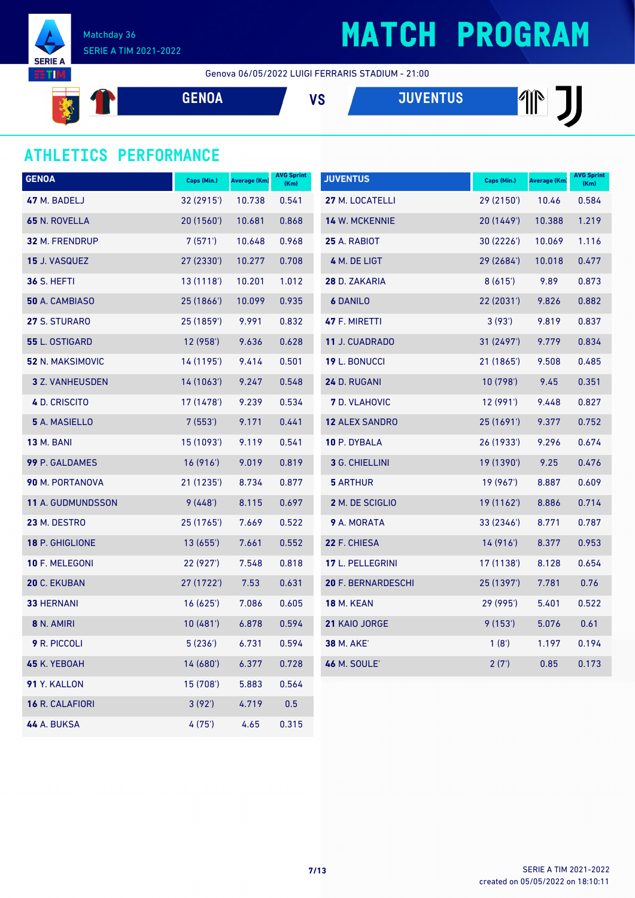



Genova 06/05/2022 LUIGI FERRARIS STADIUM - 21:00

**GENOA VS JUVENTUS REA** 

### **ATHLETICS PERFORMANCE**

| <b>GENOA</b>       | Caps (Min.) | <b>Average (Km)</b> | <b>AVG Sprint</b><br>(Km) | <b>JUVENTUS</b>       | Caps (Min.) | Average (Km) | <b>AVG Sprint</b><br>(Km) |
|--------------------|-------------|---------------------|---------------------------|-----------------------|-------------|--------------|---------------------------|
| 47 M. BADELJ       | 32 (2915')  | 10.738              | 0.541                     | 27 M. LOCATELLI       | 29 (2150')  | 10.46        | 0.584                     |
| 65 N. ROVELLA      | 20(1560)    | 10.681              | 0.868                     | 14 W. MCKENNIE        | 20 (1449')  | 10.388       | 1.219                     |
| 32 M. FRENDRUP     | 7(571)      | 10.648              | 0.968                     | 25 A. RABIOT          | 30 (2226')  | 10.069       | 1.116                     |
| 15 J. VASQUEZ      | 27 (2330')  | 10.277              | 0.708                     | 4 M. DE LIGT          | 29 (2684')  | 10.018       | 0.477                     |
| <b>36 S. HEFTI</b> | 13(1118)    | 10.201              | 1.012                     | 28 D. ZAKARIA         | 8(615)      | 9.89         | 0.873                     |
| 50 A. CAMBIASO     | 25 (1866')  | 10.099              | 0.935                     | <b>6 DANILO</b>       | 22(2031)    | 9.826        | 0.882                     |
| 27 S. STURARO      | 25 (1859')  | 9.991               | 0.832                     | 47 F. MIRETTI         | 3(93')      | 9.819        | 0.837                     |
| 55 L. OSTIGARD     | 12 (958')   | 9.636               | 0.628                     | 11 J. CUADRADO        | 31 (2497')  | 9.779        | 0.834                     |
| 52 N. MAKSIMOVIC   | 14 (1195')  | 9.414               | 0.501                     | 19 L. BONUCCI         | 21 (1865')  | 9.508        | 0.485                     |
| 3 Z. VANHEUSDEN    | 14(1063)    | 9.247               | 0.548                     | 24 D. RUGANI          | 10(798)     | 9.45         | 0.351                     |
| 4 D. CRISCITO      | 17 (1478')  | 9.239               | 0.534                     | <b>7</b> D. VLAHOVIC  | 12 (991')   | 9.448        | 0.827                     |
| 5 A. MASIELLO      | 7(553)      | 9.171               | 0.441                     | <b>12 ALEX SANDRO</b> | 25(1691)    | 9.377        | 0.752                     |
| <b>13 M. BANI</b>  | 15 (1093')  | 9.119               | 0.541                     | 10 P. DYBALA          | 26 (1933')  | 9.296        | 0.674                     |
| 99 P. GALDAMES     | 16(916)     | 9.019               | 0.819                     | 3 G. CHIELLINI        | 19 (1390')  | 9.25         | 0.476                     |
| 90 M. PORTANOVA    | 21 (1235')  | 8.734               | 0.877                     | <b>5 ARTHUR</b>       | 19 (967')   | 8.887        | 0.609                     |
| 11 A. GUDMUNDSSON  | 9(448)      | 8.115               | 0.697                     | 2 M. DE SCIGLIO       | 19 (1162')  | 8.886        | 0.714                     |
| 23 M. DESTRO       | 25 (1765')  | 7.669               | 0.522                     | 9 A. MORATA           | 33 (2346')  | 8.771        | 0.787                     |
| 18 P. GHIGLIONE    | 13(655)     | 7.661               | 0.552                     | 22 F. CHIESA          | 14(916)     | 8.377        | 0.953                     |
| 10 F. MELEGONI     | 22 (927')   | 7.548               | 0.818                     | 17 L. PELLEGRINI      | 17 (1138')  | 8.128        | 0.654                     |
| 20 C. EKUBAN       | 27 (1722')  | 7.53                | 0.631                     | 20 F. BERNARDESCHI    | 25 (1397')  | 7.781        | 0.76                      |
| <b>33 HERNANI</b>  | 16(625)     | 7.086               | 0.605                     | <b>18 M. KEAN</b>     | 29 (995')   | 5.401        | 0.522                     |
| 8 N. AMIRI         | 10(481)     | 6.878               | 0.594                     | 21 KAIO JORGE         | 9(153)      | 5.076        | 0.61                      |
| 9 R. PICCOLI       | 5(236)      | 6.731               | 0.594                     | <b>38 M. AKE</b>      | 1(8')       | 1.197        | 0.194                     |
| 45 K. YEBOAH       | 14 (680')   | 6.377               | 0.728                     | <b>46 M. SOULE'</b>   | 2(7)        | 0.85         | 0.173                     |
| 91 Y. KALLON       | 15 (708')   | 5.883               | 0.564                     |                       |             |              |                           |
| 16 R. CALAFIORI    | 3(92')      | 4.719               | 0.5                       |                       |             |              |                           |
| <b>44 A. BUKSA</b> | 4(75)       | 4.65                | 0.315                     |                       |             |              |                           |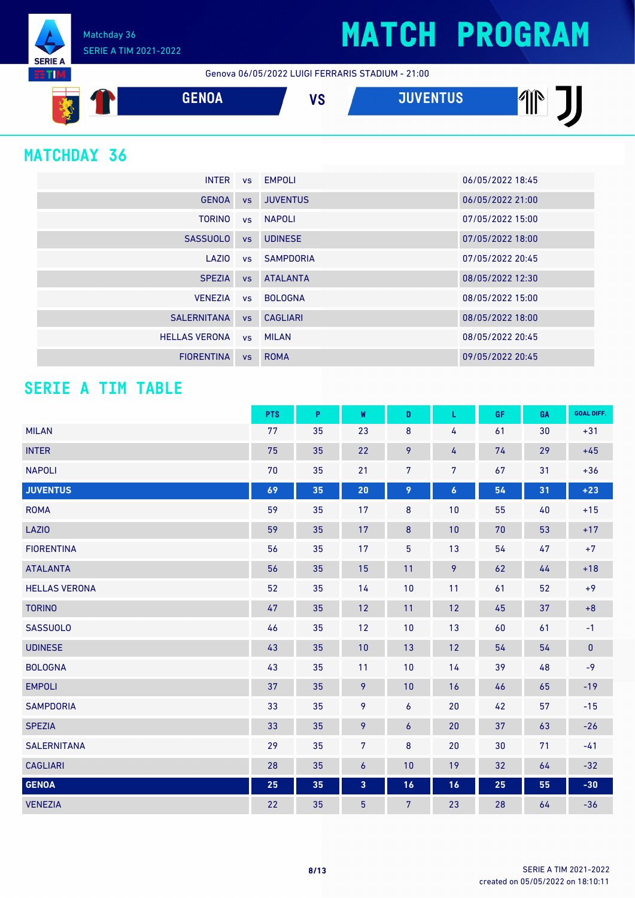Matchday 36 SERIE A TIM 2021-2022

Genova 06/05/2022 LUIGI FERRARIS STADIUM - 21:00



### **MATCHDAY 36**

**SERIE A RTM** 

| <b>INTER</b>         |    | vs EMPOLI          | 06/05/2022 18:45 |
|----------------------|----|--------------------|------------------|
| <b>GENOA</b>         |    | vs JUVENTUS        | 06/05/2022 21:00 |
| <b>TORINO</b>        |    | vs NAPOLI          | 07/05/2022 15:00 |
| SASSUOLO             |    | vs UDINESE         | 07/05/2022 18:00 |
|                      |    | LAZIO vs SAMPDORIA | 07/05/2022 20:45 |
| <b>SPEZIA</b>        |    | <b>vs ATALANTA</b> | 08/05/2022 12:30 |
|                      |    | VENEZIA vs BOLOGNA | 08/05/2022 15:00 |
| SALERNITANA          |    | vs CAGLIARI        | 08/05/2022 18:00 |
| <b>HELLAS VERONA</b> |    | vs MILAN           | 08/05/2022 20:45 |
| <b>FIORENTINA</b>    | VS | <b>ROMA</b>        | 09/05/2022 20:45 |

#### **SERIE A TIM TABLE**

|                      | <b>PTS</b> | P  | W                       | D              | L                | GF.    | GA | <b>GOAL DIFF.</b> |
|----------------------|------------|----|-------------------------|----------------|------------------|--------|----|-------------------|
| <b>MILAN</b>         | 77         | 35 | 23                      | 8              | 4                | 61     | 30 | $+31$             |
| <b>INTER</b>         | 75         | 35 | 22                      | 9              | 4                | 74     | 29 | $+45$             |
| <b>NAPOLI</b>        | 70         | 35 | 21                      | $\overline{7}$ | 7                | 67     | 31 | $+36$             |
| <b>JUVENTUS</b>      | 69         | 35 | 20                      | 9              | $\boldsymbol{6}$ | 54     | 31 | $+23$             |
| <b>ROMA</b>          | 59         | 35 | 17                      | 8              | 10               | 55     | 40 | $+15$             |
| <b>LAZIO</b>         | 59         | 35 | 17                      | 8              | 10               | $70\,$ | 53 | $+17$             |
| <b>FIORENTINA</b>    | 56         | 35 | 17                      | $\overline{5}$ | 13               | 54     | 47 | $+7$              |
| <b>ATALANTA</b>      | 56         | 35 | 15                      | 11             | 9                | 62     | 44 | $+18$             |
| <b>HELLAS VERONA</b> | 52         | 35 | 14                      | 10             | 11               | 61     | 52 | $+9$              |
| <b>TORINO</b>        | 47         | 35 | 12                      | 11             | 12               | 45     | 37 | $+8$              |
| <b>SASSUOLO</b>      | 46         | 35 | 12                      | 10             | 13               | 60     | 61 | $-1$              |
| <b>UDINESE</b>       | 43         | 35 | 10                      | 13             | 12               | 54     | 54 | $\pmb{0}$         |
| <b>BOLOGNA</b>       | 43         | 35 | 11                      | 10             | 14               | 39     | 48 | $-9$              |
| <b>EMPOLI</b>        | 37         | 35 | 9                       | 10             | 16               | 46     | 65 | $-19$             |
| <b>SAMPDORIA</b>     | 33         | 35 | 9                       | 6              | 20               | 42     | 57 | $-15$             |
| <b>SPEZIA</b>        | 33         | 35 | 9                       | 6              | 20               | 37     | 63 | $-26$             |
| <b>SALERNITANA</b>   | 29         | 35 | $\overline{7}$          | 8              | 20               | 30     | 71 | $-41$             |
| <b>CAGLIARI</b>      | 28         | 35 | $\boldsymbol{6}$        | 10             | 19               | 32     | 64 | $-32$             |
| <b>GENOA</b>         | 25         | 35 | $\overline{\mathbf{3}}$ | 16             | 16               | 25     | 55 | $-30$             |
| <b>VENEZIA</b>       | 22         | 35 | $\overline{5}$          | 7              | 23               | 28     | 64 | $-36$             |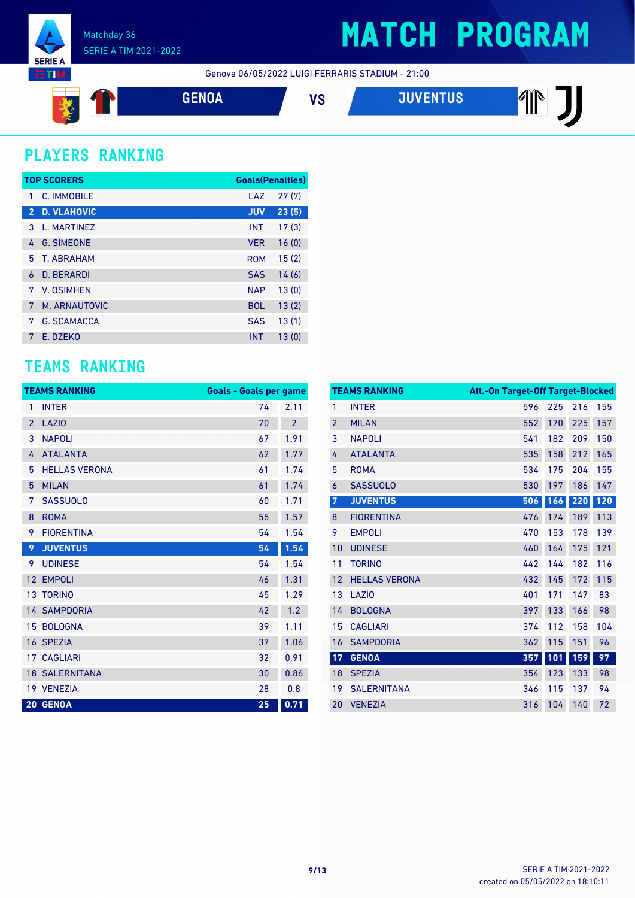

Genova 06/05/2022 LUIGI FERRARIS STADIUM - 21:00



### **PLAYERS RANKING**

|                | <b>TOP SCORERS</b> | <b>Goals(Penalties)</b> |       |
|----------------|--------------------|-------------------------|-------|
| 1              | C. IMMOBILE        | LAZ                     | 27(7) |
| $\overline{2}$ | <b>D. VLAHOVIC</b> | <b>JUV</b>              | 23(5) |
| 3              | L. MARTINEZ        | <b>INT</b>              | 17(3) |
| 4              | <b>G. SIMEONE</b>  | <b>VER</b>              | 16(0) |
| 5.             | T. ABRAHAM         | <b>ROM</b>              | 15(2) |
| 6              | <b>D. BERARDI</b>  | <b>SAS</b>              | 14(6) |
| 7              | V. OSIMHEN         | <b>NAP</b>              | 13(0) |
| 7              | M. ARNAUTOVIC      | <b>BOL</b>              | 13(2) |
| 7              | <b>G. SCAMACCA</b> | <b>SAS</b>              | 13(1) |
| 7              | F. DZFKO           | <b>INT</b>              | 13(0) |

#### **TEAMS RANKING**

|                | <b>TEAMS RANKING</b>  | <b>Goals - Goals per game</b> |                |
|----------------|-----------------------|-------------------------------|----------------|
| 1              | <b>INTER</b>          | 74                            | 2.11           |
| $\overline{2}$ | <b>LAZIO</b>          | 70                            | $\overline{2}$ |
| 3              | <b>NAPOLI</b>         | 67                            | 1.91           |
| 4              | <b>ATALANTA</b>       | 62                            | 1.77           |
| 5              | <b>HELLAS VERONA</b>  | 61                            | 1.74           |
| 5              | <b>MILAN</b>          | 61                            | 1.74           |
| 7              | <b>SASSUOLO</b>       | 60                            | 1.71           |
| 8              | <b>ROMA</b>           | 55                            | 1.57           |
| 9              | <b>FIORENTINA</b>     | 54                            | 1.54           |
| 9              | <b>JUVENTUS</b>       | 54                            | 1.54           |
| 9              | <b>UDINESE</b>        | 54                            | 1.54           |
| 12             | <b>EMPOLI</b>         | 46                            | 1.31           |
| 13             | <b>TORINO</b>         | 45                            | 1.29           |
|                | <b>14 SAMPDORIA</b>   | 42                            | 1.2            |
| 15             | <b>BOLOGNA</b>        | 39                            | 1.11           |
|                | 16 SPEZIA             | 37                            | 1.06           |
| 17             | <b>CAGLIARI</b>       | 32                            | 0.91           |
|                | <b>18 SALERNITANA</b> | 30                            | 0.86           |
|                | 19 VENEZIA            | 28                            | 0.8            |
|                | 20 GENOA              | 25                            | 0.71           |

|                | <b>TEAMS RANKING</b> | Att.-On Target-Off Target-Blocked |     |     |     |
|----------------|----------------------|-----------------------------------|-----|-----|-----|
| 1              | <b>INTER</b>         | 596                               | 225 | 216 | 155 |
| $\overline{2}$ | <b>MILAN</b>         | 552                               | 170 | 225 | 157 |
| 3              | <b>NAPOLI</b>        | 541                               | 182 | 209 | 150 |
| 4              | <b>ATALANTA</b>      | 535                               | 158 | 212 | 165 |
| 5              | <b>ROMA</b>          | 534                               | 175 | 204 | 155 |
| 6              | <b>SASSUOLO</b>      | 530                               | 197 | 186 | 147 |
| $\overline{7}$ | <b>JUVENTUS</b>      | 506                               | 166 | 220 | 120 |
| 8              | <b>FIORENTINA</b>    | 476                               | 174 | 189 | 113 |
| 9              | <b>EMPOLI</b>        | 470                               | 153 | 178 | 139 |
| 10             | <b>UDINESE</b>       | 460                               | 164 | 175 | 121 |
| 11             | <b>TORINO</b>        | 442                               | 144 | 182 | 116 |
| 12             | <b>HELLAS VERONA</b> | 432                               | 145 | 172 | 115 |
| 13             | <b>LAZIO</b>         | 401                               | 171 | 147 | 83  |
| 14             | <b>BOLOGNA</b>       | 397                               | 133 | 166 | 98  |
| 15             | <b>CAGLIARI</b>      | 374                               | 112 | 158 | 104 |
| 16             | <b>SAMPDORIA</b>     | 362                               | 115 | 151 | 96  |
| 17             | <b>GENOA</b>         | 357                               | 101 | 159 | 97  |
| 18             | <b>SPEZIA</b>        | 354                               | 123 | 133 | 98  |
| 19             | <b>SALERNITANA</b>   | 346                               | 115 | 137 | 94  |
| 20             | <b>VENEZIA</b>       | 316                               | 104 | 140 | 72  |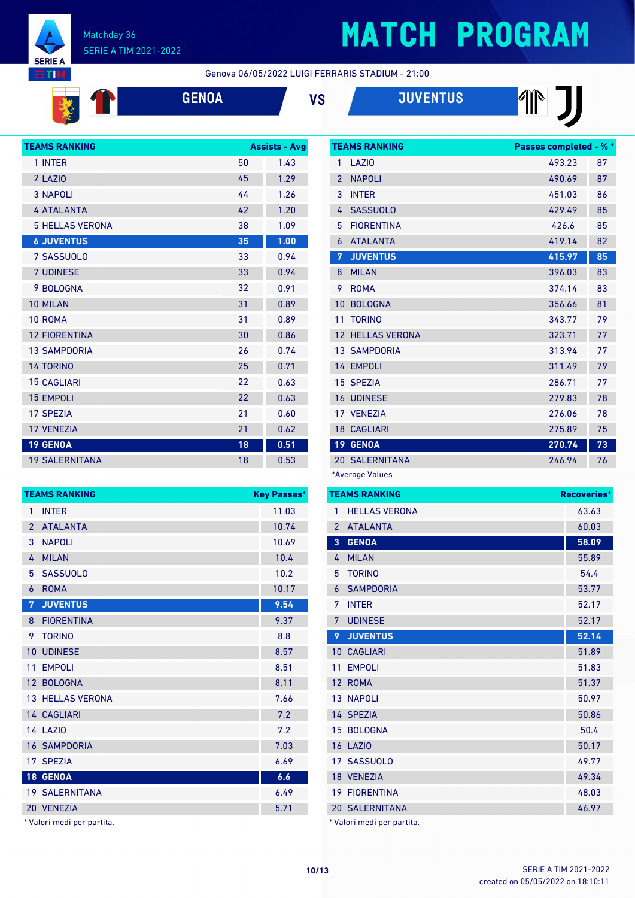

**SALE** 

#### Matchday 36 SERIE A TIM 2021-2022

# **MATCH PROGRAM**

Genova 06/05/2022 LUIGI FERRARIS STADIUM - 21:00





# 

| <b>TEAMS RANKING</b>   |    | <b>Assists - Avg</b> |
|------------------------|----|----------------------|
| 1 INTER                | 50 | 1.43                 |
| 2 LAZIO                | 45 | 1.29                 |
| <b>3 NAPOLI</b>        | 44 | 1.26                 |
| <b>4 ATALANTA</b>      | 42 | 1.20                 |
| <b>5 HELLAS VERONA</b> | 38 | 1.09                 |
| <b>6 JUVENTUS</b>      | 35 | 1.00                 |
| 7 SASSUOLO             | 33 | 0.94                 |
| <b>7 UDINESE</b>       | 33 | 0.94                 |
| 9 BOLOGNA              | 32 | 0.91                 |
| 10 MILAN               | 31 | 0.89                 |
| 10 ROMA                | 31 | 0.89                 |
| <b>12 FIORENTINA</b>   | 30 | 0.86                 |
| <b>13 SAMPDORIA</b>    | 26 | 0.74                 |
| <b>14 TORINO</b>       | 25 | 0.71                 |
| <b>15 CAGLIARI</b>     | 22 | 0.63                 |
| <b>15 EMPOLI</b>       | 22 | 0.63                 |
| <b>17 SPEZIA</b>       | 21 | 0.60                 |
| <b>17 VENEZIA</b>      | 21 | 0.62                 |
| <b>19 GENOA</b>        | 18 | 0.51                 |
| <b>19 SALERNITANA</b>  | 18 | 0.53                 |

|                | <b>TEAMS RANKING</b>    | <b>Key Passes*</b> |
|----------------|-------------------------|--------------------|
| 1              | <b>INTER</b>            | 11.03              |
| $\mathcal{P}$  | <b>ATALANTA</b>         | 10.74              |
| 3              | <b>NAPOLI</b>           | 10.69              |
| 4              | <b>MILAN</b>            | 10.4               |
| 5              | <b>SASSUOLO</b>         | 10.2               |
| 6              | <b>ROMA</b>             | 10.17              |
| $\overline{7}$ | <b>JUVENTUS</b>         | 9.54               |
| 8              | <b>FIORENTINA</b>       | 9.37               |
| 9              | <b>TORINO</b>           | 8.8                |
| 10             | <b>UDINESE</b>          | 8.57               |
| 11             | <b>EMPOLI</b>           | 8.51               |
|                | 12 BOLOGNA              | 8.11               |
|                | <b>13 HELLAS VERONA</b> | 7.66               |
|                | 14 CAGLIARI             | 7.2                |
|                | 14 LAZIO                | 7.2                |
|                | <b>16 SAMPDORIA</b>     | 7.03               |
|                | 17 SPEZIA               | 6.69               |
|                | 18 GENOA                | 6.6                |
|                | <b>19 SALERNITANA</b>   | 6.49               |
|                | 20 VENEZIA              | 5.71               |

\* Valori medi per partita.

|                 | <b>TEAMS RANKING</b>  | Passes completed - % * |    |
|-----------------|-----------------------|------------------------|----|
| 1               | LAZI <sub>0</sub>     | 493.23                 | 87 |
| $\overline{2}$  | <b>NAPOLI</b>         | 490.69                 | 87 |
| 3               | <b>INTER</b>          | 451.03                 | 86 |
| 4               | <b>SASSUOLO</b>       | 429.49                 | 85 |
| 5               | <b>FIORENTINA</b>     | 426.6                  | 85 |
| 6               | <b>ATALANTA</b>       | 419.14                 | 82 |
| 7               | <b>JUVENTUS</b>       | 415.97                 | 85 |
| 8               | <b>MILAN</b>          | 396.03                 | 83 |
| 9               | <b>ROMA</b>           | 374.14                 | 83 |
| 10              | <b>BOLOGNA</b>        | 356.66                 | 81 |
| 11              | <b>TORINO</b>         | 343.77                 | 79 |
|                 | 12 HELLAS VERONA      | 323.71                 | 77 |
|                 | <b>13 SAMPDORIA</b>   | 313.94                 | 77 |
|                 | 14 EMPOLI             | 311.49                 | 79 |
|                 | 15 SPEZIA             | 286.71                 | 77 |
|                 | <b>16 UDINESE</b>     | 279.83                 | 78 |
|                 | 17 VENEZIA            | 276.06                 | 78 |
|                 | <b>18 CAGLIARI</b>    | 275.89                 | 75 |
| 19 <sup>°</sup> | <b>GENOA</b>          | 270.74                 | 73 |
|                 | <b>20 SALERNITANA</b> | 246.94                 | 76 |
|                 | $*$ Avorago Values    |                        |    |

\*Average Values

| <b>HELLAS VERONA</b><br>63.63<br>1<br><b>ATALANTA</b><br>60.03<br>$\overline{2}$<br><b>GENOA</b><br>3<br>58.09<br><b>MILAN</b><br>55.89<br>4<br><b>TORINO</b><br>5<br>54.4<br><b>SAMPDORIA</b><br>53.77<br>6<br><b>INTFR</b><br>52.17<br>7<br><b>UDINESE</b><br>7<br>52.17<br>9<br><b>JUVENTUS</b><br>52.14<br><b>CAGLIARI</b><br>51.89<br>10<br><b>EMPOLI</b><br>51.83<br>11<br><b>ROMA</b><br>51.37<br>12<br><b>13 NAPOLI</b><br>50.97<br>14 SPEZIA<br>50.86<br>15 BOLOGNA<br>50.4<br><b>16 LAZIO</b><br>50.17<br>17 SASSUOLO<br>49.77<br>18 VENEZIA<br>49.34 | <b>TEAMS RANKING</b> | Recoveries* |
|-----------------------------------------------------------------------------------------------------------------------------------------------------------------------------------------------------------------------------------------------------------------------------------------------------------------------------------------------------------------------------------------------------------------------------------------------------------------------------------------------------------------------------------------------------------------|----------------------|-------------|
|                                                                                                                                                                                                                                                                                                                                                                                                                                                                                                                                                                 |                      |             |
|                                                                                                                                                                                                                                                                                                                                                                                                                                                                                                                                                                 |                      |             |
|                                                                                                                                                                                                                                                                                                                                                                                                                                                                                                                                                                 |                      |             |
|                                                                                                                                                                                                                                                                                                                                                                                                                                                                                                                                                                 |                      |             |
|                                                                                                                                                                                                                                                                                                                                                                                                                                                                                                                                                                 |                      |             |
|                                                                                                                                                                                                                                                                                                                                                                                                                                                                                                                                                                 |                      |             |
|                                                                                                                                                                                                                                                                                                                                                                                                                                                                                                                                                                 |                      |             |
|                                                                                                                                                                                                                                                                                                                                                                                                                                                                                                                                                                 |                      |             |
|                                                                                                                                                                                                                                                                                                                                                                                                                                                                                                                                                                 |                      |             |
|                                                                                                                                                                                                                                                                                                                                                                                                                                                                                                                                                                 |                      |             |
|                                                                                                                                                                                                                                                                                                                                                                                                                                                                                                                                                                 |                      |             |
|                                                                                                                                                                                                                                                                                                                                                                                                                                                                                                                                                                 |                      |             |
|                                                                                                                                                                                                                                                                                                                                                                                                                                                                                                                                                                 |                      |             |
|                                                                                                                                                                                                                                                                                                                                                                                                                                                                                                                                                                 |                      |             |
|                                                                                                                                                                                                                                                                                                                                                                                                                                                                                                                                                                 |                      |             |
|                                                                                                                                                                                                                                                                                                                                                                                                                                                                                                                                                                 |                      |             |
|                                                                                                                                                                                                                                                                                                                                                                                                                                                                                                                                                                 |                      |             |
|                                                                                                                                                                                                                                                                                                                                                                                                                                                                                                                                                                 |                      |             |
| <b>19 FIORENTINA</b>                                                                                                                                                                                                                                                                                                                                                                                                                                                                                                                                            |                      | 48.03       |
| <b>20 SALERNITANA</b><br>46.97                                                                                                                                                                                                                                                                                                                                                                                                                                                                                                                                  |                      |             |

Valori medi per partita.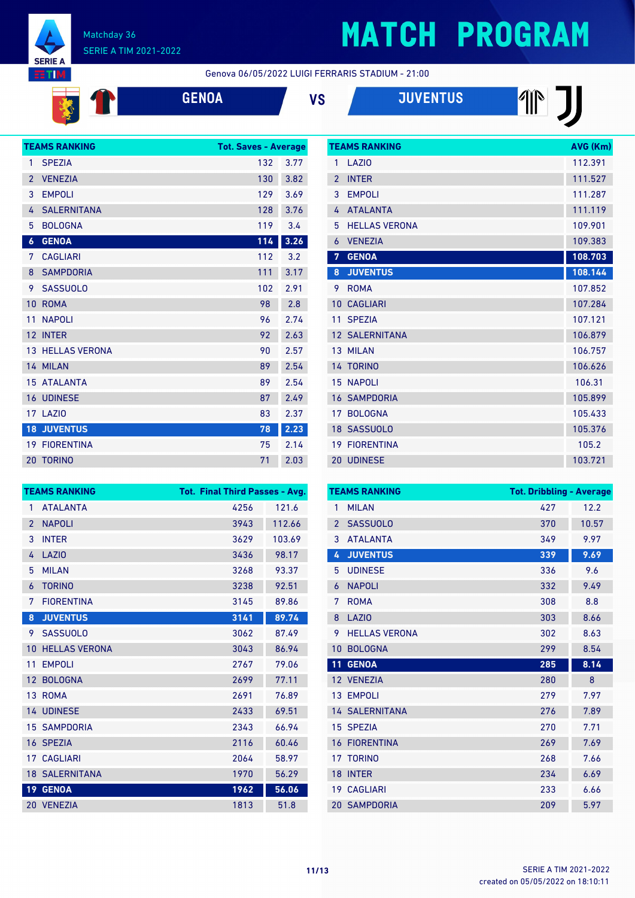

T

**ENSINE** 

# **MATCH PROGRAM**

Genova 06/05/2022 LUIGI FERRARIS STADIUM - 21:00

|  | t |
|--|---|
|  |   |

| ۱A |  |  |
|----|--|--|
|    |  |  |

| <b>ENOA</b> | VS | <b>JUVENTUS</b> |
|-------------|----|-----------------|
|             |    |                 |



|                | <b>TEAMS RANKING</b>  | AVG (Km) |
|----------------|-----------------------|----------|
| 1              | LAZIO                 | 112.391  |
| $\overline{2}$ | <b>INTER</b>          | 111.527  |
| 3              | <b>EMPOLI</b>         | 111.287  |
| 4              | <b>ATALANTA</b>       | 111.119  |
| 5              | <b>HELLAS VERONA</b>  | 109.901  |
| 6              | <b>VENEZIA</b>        | 109.383  |
| 7              | <b>GENOA</b>          | 108.703  |
| 8              | <b>JUVENTUS</b>       | 108.144  |
| 9              | <b>ROMA</b>           | 107.852  |
| 10             | <b>CAGLIARI</b>       | 107.284  |
| 11             | <b>SPEZIA</b>         | 107.121  |
|                | <b>12 SALERNITANA</b> | 106.879  |
|                | 13 MILAN              | 106.757  |
|                | 14 TORINO             | 106.626  |
| 15             | <b>NAPOLI</b>         | 106.31   |
| 16             | <b>SAMPDORIA</b>      | 105.899  |
| 17             | <b>BOLOGNA</b>        | 105.433  |
|                | 18 SASSUOLO           | 105.376  |
| 19             | <b>FIORENTINA</b>     | 105.2    |
|                | 20 UDINESE            | 103.721  |

|                 | <b>TEAMS RANKING</b>  | <b>Tot. Final Third Passes - Avg.</b> |        |
|-----------------|-----------------------|---------------------------------------|--------|
| $\mathbf{1}$    | <b>ATALANTA</b>       | 4256                                  | 121.6  |
| $\overline{2}$  | <b>NAPOLI</b>         | 3943                                  | 112.66 |
| 3               | <b>INTER</b>          | 3629                                  | 103.69 |
| 4               | LAZI <sub>0</sub>     | 3436                                  | 98.17  |
| 5               | <b>MILAN</b>          | 3268                                  | 93.37  |
| 6               | <b>TORINO</b>         | 3238                                  | 92.51  |
| 7               | <b>FIORENTINA</b>     | 3145                                  | 89.86  |
| 8               | <b>JUVENTUS</b>       | 3141                                  | 89.74  |
| 9               | <b>SASSUOLO</b>       | 3062                                  | 87.49  |
| 10              | <b>HELLAS VERONA</b>  | 3043                                  | 86.94  |
| 11              | <b>EMPOLI</b>         | 2767                                  | 79.06  |
| 12 <sup>2</sup> | <b>BOLOGNA</b>        | 2699                                  | 77.11  |
|                 | 13 ROMA               | 2691                                  | 76.89  |
|                 | 14 UDINESE            | 2433                                  | 69.51  |
|                 | <b>15 SAMPDORIA</b>   | 2343                                  | 66.94  |
|                 | 16 SPEZIA             | 2116                                  | 60.46  |
|                 | 17 CAGLIARI           | 2064                                  | 58.97  |
|                 | <b>18 SALERNITANA</b> | 1970                                  | 56.29  |
| 19 <sup>°</sup> | <b>GENOA</b>          | 1962                                  | 56.06  |
|                 | 20 VENEZIA            | 1813                                  | 51.8   |

| <b>Tot. Dribbling - Average</b><br><b>TEAMS RANKING</b> |                       |     |       |
|---------------------------------------------------------|-----------------------|-----|-------|
| 1                                                       | <b>MILAN</b>          | 427 | 12.2  |
| $\overline{2}$                                          | <b>SASSUOLO</b>       | 370 | 10.57 |
| 3                                                       | <b>ATALANTA</b>       | 349 | 9.97  |
| 4                                                       | <b>JUVENTUS</b>       | 339 | 9.69  |
| 5                                                       | <b>UDINESE</b>        | 336 | 9.6   |
| 6                                                       | <b>NAPOLI</b>         | 332 | 9.49  |
| 7                                                       | <b>ROMA</b>           | 308 | 8.8   |
| 8                                                       | <b>LAZIO</b>          | 303 | 8.66  |
| 9                                                       | <b>HELLAS VERONA</b>  | 302 | 8.63  |
| 10                                                      | <b>BOLOGNA</b>        | 299 | 8.54  |
| 11                                                      | <b>GENOA</b>          | 285 | 8.14  |
|                                                         | 12 VENEZIA            | 280 | 8     |
| 13                                                      | <b>EMPOLI</b>         | 279 | 7.97  |
|                                                         | <b>14 SALERNITANA</b> | 276 | 7.89  |
|                                                         | 15 SPEZIA             | 270 | 7.71  |
| 16                                                      | <b>FIORENTINA</b>     | 269 | 7.69  |
| 17                                                      | <b>TORINO</b>         | 268 | 7.66  |
| 18                                                      | <b>INTER</b>          | 234 | 6.69  |
| 19                                                      | <b>CAGLIARI</b>       | 233 | 6.66  |
|                                                         | <b>20 SAMPDORIA</b>   | 209 | 5.97  |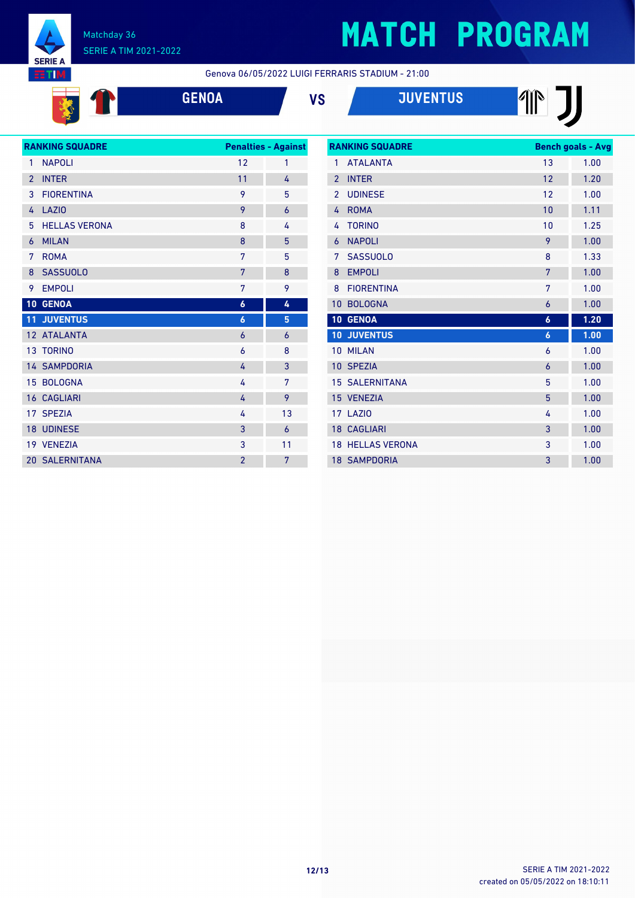

# **MATCH PROGRAM**

**THE J** 

Genova 06/05/2022 LUIGI FERRARIS STADIUM - 21:00

**GENOA VS JUVENTUS**

| <b>RANKING SQUADRE</b> |                       | <b>Penalties - Against</b> |                |
|------------------------|-----------------------|----------------------------|----------------|
| 1                      | <b>NAPOLI</b>         | 12                         | 1              |
| $\overline{2}$         | <b>INTER</b>          | 11                         | 4              |
| 3                      | <b>FIORENTINA</b>     | 9                          | 5              |
| 4                      | <b>LAZIO</b>          | 9                          | $\overline{6}$ |
| 5                      | <b>HELLAS VERONA</b>  | 8                          | 4              |
| $\overline{6}$         | <b>MILAN</b>          | 8                          | 5              |
| 7                      | <b>ROMA</b>           | 7                          | 5              |
| 8                      | <b>SASSUOLO</b>       | 7                          | 8              |
| 9                      | <b>EMPOLI</b>         | 7                          | 9              |
|                        | 10 GENOA              | $\boldsymbol{6}$           | 4              |
| 11                     | <b>JUVENTUS</b>       | $\boldsymbol{6}$           | 5              |
|                        | 12 ATALANTA           | $\overline{6}$             | 6              |
|                        | <b>13 TORINO</b>      | 6                          | 8              |
|                        | <b>14 SAMPDORIA</b>   | 4                          | 3              |
| 15                     | <b>BOLOGNA</b>        | 4                          | 7              |
|                        | <b>16 CAGLIARI</b>    | 4                          | 9              |
|                        | 17 SPEZIA             | 4                          | 13             |
|                        | <b>18 UDINESE</b>     | 3                          | $\overline{6}$ |
|                        | 19 VENEZIA            | 3                          | 11             |
|                        | <b>20 SALERNITANA</b> | $\overline{2}$             | 7              |

| <b>RANKING SQUADRE</b> |                      | <b>Bench goals - Avg</b> |      |
|------------------------|----------------------|--------------------------|------|
| 1                      | <b>ATAI ANTA</b>     | 13                       | 1.00 |
| $\mathfrak{p}$         | <b>INTER</b>         | 12                       | 1.20 |
| $\mathfrak{p}$         | <b>UDINESE</b>       | 12                       | 1.00 |
| 4                      | <b>ROMA</b>          | 10                       | 1.11 |
| 4                      | <b>TORINO</b>        | 10                       | 1.25 |
| 6                      | <b>NAPOLI</b>        | 9                        | 1.00 |
| 7                      | <b>SASSUOLO</b>      | 8                        | 1.33 |
| 8                      | <b>EMPOLI</b>        | 7                        | 1.00 |
| 8                      | <b>FIORENTINA</b>    | 7                        | 1.00 |
| 10                     | <b>BOLOGNA</b>       | 6                        | 1.00 |
| 10                     | <b>GENOA</b>         | $\boldsymbol{6}$         | 1.20 |
| 10                     | <b>JUVENTUS</b>      | $\boldsymbol{6}$         | 1.00 |
| 10                     | <b>MILAN</b>         | 6                        | 1.00 |
| 10                     | <b>SPEZIA</b>        | $\overline{6}$           | 1.00 |
| 15                     | <b>SALERNITANA</b>   | 5                        | 1.00 |
|                        | 15 VENEZIA           | 5                        | 1.00 |
| 17                     | LAZIO                | 4                        | 1.00 |
|                        | <b>18 CAGLIARI</b>   | 3                        | 1.00 |
| 18                     | <b>HELLAS VERONA</b> | 3                        | 1.00 |
|                        | <b>18 SAMPDORIA</b>  | 3                        | 1.00 |